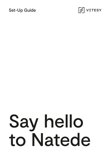#### Set-Up Guide



# Say hello to Natede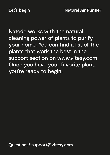Natede works with the natural cleaning power of plants to purify your home. You can find a list of the plants that work the best in the support section on www.vitesy.com Once you have your favorite plant, you're ready to begin.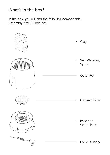## What's in the box?

In the box, you will find the following components. Assembly time: 15 minutes

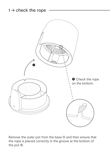#### $1 \rightarrow$  check the rope



Remove the outer pot from the base **①** and then ensure that the rope is placed correctly in the groove at the bottom of the pot  $\circledcirc$ .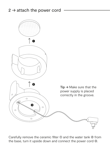

Carefully remove the ceramic filter  $\odot$  and the water tank  $\odot$  from the base, turn it upside down and connect the power cord  $\circledast$ .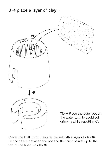

Cover the bottom of the inner basket with a layer of clay ➀. Fill the space between the pot and the inner basket up to the top of the tips with clay  $\circledcirc$ .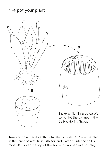

Take your plant and gently untangle its roots **①**. Place the plant in the inner basket, fill it with soil and water it until the soil is moist ➁. Cover the top of the soil with another layer of clay.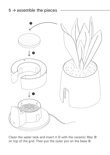

Clean the water tank and insert it  $\Phi$  with the ceramic filter  $\Phi$ on top of the grid. Then put the outer pot on the base 3.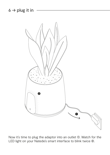$6 \rightarrow$  plug it in



Now it's time to plug the adaptor into an outlet ①. Watch for the LED light on your Natede's smart interface to blink twice 2.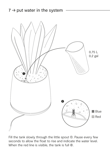

Fill the tank slowly through the little spout **①**. Pause every few seconds to allow the float to rise and indicate the water level. When the red line is visible, the tank is full <sup>*©*</sup>.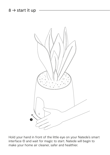

Hold your hand in front of the little eye on your Natede's smart interface ➀ and wait for magic to start. Natede will begin to make your home air cleaner, safer and healthier.